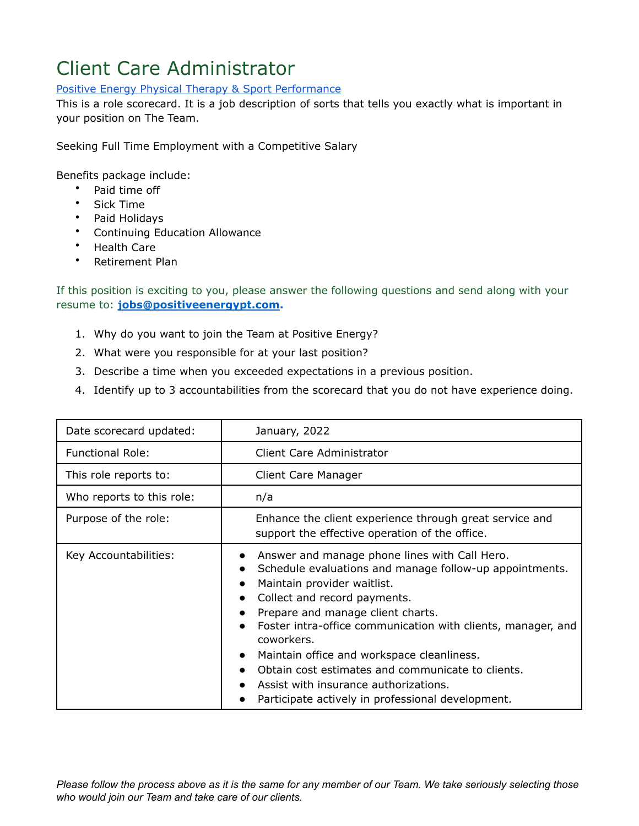## Client Care Administrator

## [Positive](http://www.sfphysicaltherapy.com/) Energy Physical Therapy & Sport Performance

This is a role scorecard. It is a job description of sorts that tells you exactly what is important in your position on The Team.

Seeking Full Time Employment with a Competitive Salary

Benefits package include:

- Paid time off
- Sick Time
- Paid Holidays
- Continuing Education Allowance
- Health Care
- Retirement Plan

If this position is exciting to you, please answer the following questions and send along with your resume to: **[jobs@positiveenergypt.com](mailto:jobs@positiveenergypt.com).**

- 1. Why do you want to join the Team at Positive Energy?
- 2. What were you responsible for at your last position?
- 3. Describe a time when you exceeded expectations in a previous position.
- 4. Identify up to 3 accountabilities from the scorecard that you do not have experience doing.

| Date scorecard updated:   | January, 2022                                                                                                                                                                                                                                                                                                                                                                                                                                                                                                                                   |
|---------------------------|-------------------------------------------------------------------------------------------------------------------------------------------------------------------------------------------------------------------------------------------------------------------------------------------------------------------------------------------------------------------------------------------------------------------------------------------------------------------------------------------------------------------------------------------------|
| <b>Functional Role:</b>   | Client Care Administrator                                                                                                                                                                                                                                                                                                                                                                                                                                                                                                                       |
| This role reports to:     | Client Care Manager                                                                                                                                                                                                                                                                                                                                                                                                                                                                                                                             |
| Who reports to this role: | n/a                                                                                                                                                                                                                                                                                                                                                                                                                                                                                                                                             |
| Purpose of the role:      | Enhance the client experience through great service and<br>support the effective operation of the office.                                                                                                                                                                                                                                                                                                                                                                                                                                       |
| Key Accountabilities:     | Answer and manage phone lines with Call Hero.<br>$\bullet$<br>Schedule evaluations and manage follow-up appointments.<br>Maintain provider waitlist.<br>$\bullet$<br>Collect and record payments.<br>$\bullet$<br>Prepare and manage client charts.<br>Foster intra-office communication with clients, manager, and<br>coworkers.<br>Maintain office and workspace cleanliness.<br>$\bullet$<br>Obtain cost estimates and communicate to clients.<br>Assist with insurance authorizations.<br>Participate actively in professional development. |